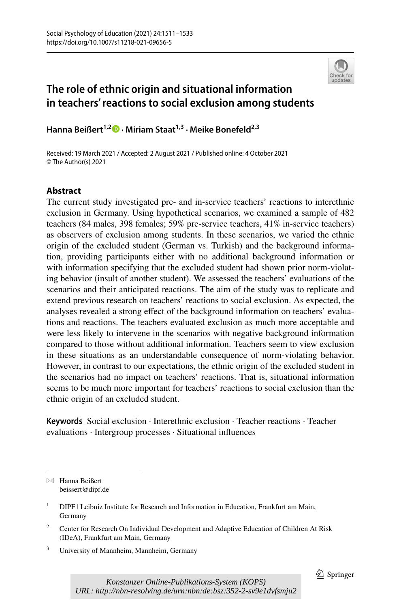

# **The role of ethnic origin and situational information in teachers' reactions to social exclusion among students**

**HannaBeißert<sup>1,2</sup><sup>0</sup> · Miriam Staat<sup>1,3</sup> · Meike Bonefeld<sup>2,3</sup>** 

Received: 19 March 2021 / Accepted: 2 August 2021 / Published online: 4 October 2021 © The Author(s) 2021

## **Abstract**

The current study investigated pre- and in-service teachers' reactions to interethnic exclusion in Germany. Using hypothetical scenarios, we examined a sample of 482 teachers (84 males, 398 females; 59% pre-service teachers, 41% in-service teachers) as observers of exclusion among students. In these scenarios, we varied the ethnic origin of the excluded student (German vs. Turkish) and the background information, providing participants either with no additional background information or with information specifying that the excluded student had shown prior norm-violating behavior (insult of another student). We assessed the teachers' evaluations of the scenarios and their anticipated reactions. The aim of the study was to replicate and extend previous research on teachers' reactions to social exclusion. As expected, the analyses revealed a strong effect of the background information on teachers' evaluations and reactions. The teachers evaluated exclusion as much more acceptable and were less likely to intervene in the scenarios with negative background information compared to those without additional information. Teachers seem to view exclusion in these situations as an understandable consequence of norm-violating behavior. However, in contrast to our expectations, the ethnic origin of the excluded student in the scenarios had no impact on teachers' reactions. That is, situational information seems to be much more important for teachers' reactions to social exclusion than the ethnic origin of an excluded student.

**Keywords** Social exclusion · Interethnic exclusion · Teacher reactions · Teacher evaluations · Intergroup processes · Situational infuences

 $\boxtimes$  Hanna Beißert beissert@dipf.de

<sup>&</sup>lt;sup>1</sup> DIPF | Leibniz Institute for Research and Information in Education, Frankfurt am Main, Germany

<sup>&</sup>lt;sup>2</sup> Center for Research On Individual Development and Adaptive Education of Children At Risk (IDeA), Frankfurt am Main, Germany

<sup>3</sup> University of Mannheim, Mannheim, Germany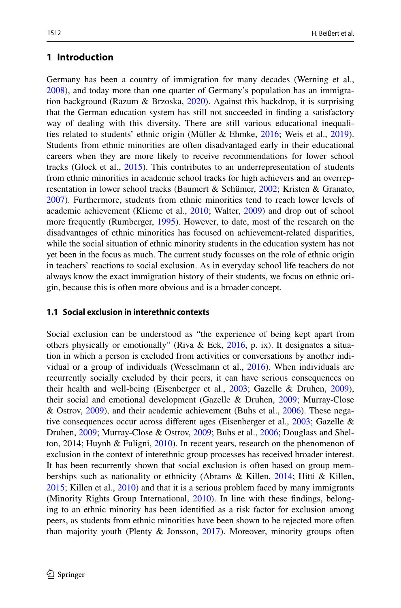### **1 Introduction**

Germany has been a country of immigration for many decades (Werning et al., [2008](#page-22-0)), and today more than one quarter of Germany's population has an immigra-tion background (Razum & Brzoska, [2020](#page-21-0)). Against this backdrop, it is surprising that the German education system has still not succeeded in fnding a satisfactory way of dealing with this diversity. There are still various educational inequalities related to students' ethnic origin (Müller & Ehmke, [2016;](#page-21-1) Weis et al., [2019\)](#page-21-2). Students from ethnic minorities are often disadvantaged early in their educational careers when they are more likely to receive recommendations for lower school tracks (Glock et al., [2015](#page-20-0)). This contributes to an underrepresentation of students from ethnic minorities in academic school tracks for high achievers and an overrepresentation in lower school tracks (Baumert & Schümer, [2002;](#page-19-0) Kristen & Granato, [2007](#page-21-3)). Furthermore, students from ethnic minorities tend to reach lower levels of academic achievement (Klieme et al., [2010;](#page-21-4) Walter, [2009](#page-21-5)) and drop out of school more frequently (Rumberger, [1995](#page-21-6)). However, to date, most of the research on the disadvantages of ethnic minorities has focused on achievement-related disparities, while the social situation of ethnic minority students in the education system has not yet been in the focus as much. The current study focusses on the role of ethnic origin in teachers' reactions to social exclusion. As in everyday school life teachers do not always know the exact immigration history of their students, we focus on ethnic origin, because this is often more obvious and is a broader concept.

### **1.1 Social exclusion in interethnic contexts**

Social exclusion can be understood as "the experience of being kept apart from others physically or emotionally" (Riva & Eck, [2016,](#page-21-7) p. ix). It designates a situation in which a person is excluded from activities or conversations by another individual or a group of individuals (Wesselmann et al., [2016](#page-22-1)). When individuals are recurrently socially excluded by their peers, it can have serious consequences on their health and well-being (Eisenberger et al., [2003](#page-20-1); Gazelle & Druhen, [2009\)](#page-20-2), their social and emotional development (Gazelle & Druhen, [2009;](#page-20-2) Murray-Close & Ostrov, [2009](#page-21-8)), and their academic achievement (Buhs et al., [2006\)](#page-20-3). These negative consequences occur across diferent ages (Eisenberger et al., [2003](#page-20-1); Gazelle & Druhen, [2009](#page-20-2); Murray-Close & Ostrov, [2009;](#page-21-8) Buhs et al., [2006;](#page-20-3) Douglass and Shelton, 2014; Huynh & Fuligni, [2010](#page-20-4)). In recent years, research on the phenomenon of exclusion in the context of interethnic group processes has received broader interest. It has been recurrently shown that social exclusion is often based on group memberships such as nationality or ethnicity (Abrams & Killen, [2014;](#page-19-1) Hitti & Killen, [2015](#page-20-5); Killen et al., [2010\)](#page-20-6) and that it is a serious problem faced by many immigrants (Minority Rights Group International, [2010](#page-21-9)). In line with these fndings, belonging to an ethnic minority has been identifed as a risk factor for exclusion among peers, as students from ethnic minorities have been shown to be rejected more often than majority youth (Plenty & Jonsson,  $2017$ ). Moreover, minority groups often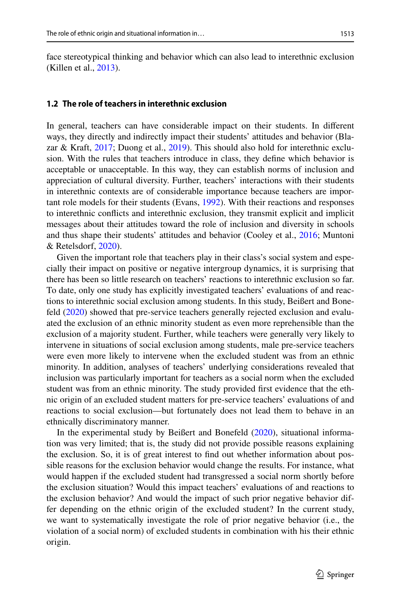face stereotypical thinking and behavior which can also lead to interethnic exclusion (Killen et al., [2013](#page-20-7)).

#### **1.2 The role of teachers in interethnic exclusion**

In general, teachers can have considerable impact on their students. In diferent ways, they directly and indirectly impact their students' attitudes and behavior (Blazar & Kraft, [2017;](#page-19-2) Duong et al., [2019\)](#page-20-8). This should also hold for interethnic exclusion. With the rules that teachers introduce in class, they defne which behavior is acceptable or unacceptable. In this way, they can establish norms of inclusion and appreciation of cultural diversity. Further, teachers' interactions with their students in interethnic contexts are of considerable importance because teachers are important role models for their students (Evans, [1992\)](#page-20-9). With their reactions and responses to interethnic conficts and interethnic exclusion, they transmit explicit and implicit messages about their attitudes toward the role of inclusion and diversity in schools and thus shape their students' attitudes and behavior (Cooley et al., [2016;](#page-20-10) Muntoni & Retelsdorf, [2020\)](#page-21-11).

Given the important role that teachers play in their class's social system and especially their impact on positive or negative intergroup dynamics, it is surprising that there has been so little research on teachers' reactions to interethnic exclusion so far. To date, only one study has explicitly investigated teachers' evaluations of and reactions to interethnic social exclusion among students. In this study, Beißert and Bonefeld [\(2020](#page-19-3)) showed that pre-service teachers generally rejected exclusion and evaluated the exclusion of an ethnic minority student as even more reprehensible than the exclusion of a majority student. Further, while teachers were generally very likely to intervene in situations of social exclusion among students, male pre-service teachers were even more likely to intervene when the excluded student was from an ethnic minority. In addition, analyses of teachers' underlying considerations revealed that inclusion was particularly important for teachers as a social norm when the excluded student was from an ethnic minority. The study provided frst evidence that the ethnic origin of an excluded student matters for pre-service teachers' evaluations of and reactions to social exclusion—but fortunately does not lead them to behave in an ethnically discriminatory manner.

In the experimental study by Beißert and Bonefeld ([2020\)](#page-19-3), situational information was very limited; that is, the study did not provide possible reasons explaining the exclusion. So, it is of great interest to fnd out whether information about possible reasons for the exclusion behavior would change the results. For instance, what would happen if the excluded student had transgressed a social norm shortly before the exclusion situation? Would this impact teachers' evaluations of and reactions to the exclusion behavior? And would the impact of such prior negative behavior differ depending on the ethnic origin of the excluded student? In the current study, we want to systematically investigate the role of prior negative behavior (i.e., the violation of a social norm) of excluded students in combination with his their ethnic origin.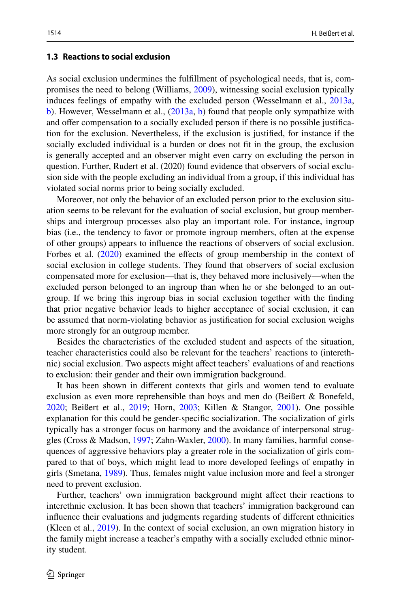#### **1.3 Reactions to social exclusion**

As social exclusion undermines the fulfllment of psychological needs, that is, compromises the need to belong (Williams, [2009](#page-22-2)), witnessing social exclusion typically induces feelings of empathy with the excluded person (Wesselmann et al., [2013a,](#page-22-3) [b](#page-22-4)). However, Wesselmann et al., [\(2013a,](#page-22-3) [b](#page-22-4)) found that people only sympathize with and ofer compensation to a socially excluded person if there is no possible justifcation for the exclusion. Nevertheless, if the exclusion is justifed, for instance if the socially excluded individual is a burden or does not ft in the group, the exclusion is generally accepted and an observer might even carry on excluding the person in question. Further, Rudert et al. (2020) found evidence that observers of social exclusion side with the people excluding an individual from a group, if this individual has violated social norms prior to being socially excluded.

Moreover, not only the behavior of an excluded person prior to the exclusion situation seems to be relevant for the evaluation of social exclusion, but group memberships and intergroup processes also play an important role. For instance, ingroup bias (i.e., the tendency to favor or promote ingroup members, often at the expense of other groups) appears to infuence the reactions of observers of social exclusion. Forbes et al. [\(2020](#page-20-11)) examined the effects of group membership in the context of social exclusion in college students. They found that observers of social exclusion compensated more for exclusion—that is, they behaved more inclusively—when the excluded person belonged to an ingroup than when he or she belonged to an outgroup. If we bring this ingroup bias in social exclusion together with the fnding that prior negative behavior leads to higher acceptance of social exclusion, it can be assumed that norm-violating behavior as justifcation for social exclusion weighs more strongly for an outgroup member.

Besides the characteristics of the excluded student and aspects of the situation, teacher characteristics could also be relevant for the teachers' reactions to (interethnic) social exclusion. Two aspects might afect teachers' evaluations of and reactions to exclusion: their gender and their own immigration background.

It has been shown in diferent contexts that girls and women tend to evaluate exclusion as even more reprehensible than boys and men do (Beißert & Bonefeld, [2020](#page-19-3); Beißert et al., [2019](#page-19-4); Horn, [2003;](#page-20-12) Killen & Stangor, [2001\)](#page-20-13). One possible explanation for this could be gender-specifc socialization. The socialization of girls typically has a stronger focus on harmony and the avoidance of interpersonal struggles (Cross & Madson, [1997](#page-20-14); Zahn-Waxler, [2000\)](#page-22-5). In many families, harmful consequences of aggressive behaviors play a greater role in the socialization of girls compared to that of boys, which might lead to more developed feelings of empathy in girls (Smetana, [1989](#page-21-12)). Thus, females might value inclusion more and feel a stronger need to prevent exclusion.

Further, teachers' own immigration background might afect their reactions to interethnic exclusion. It has been shown that teachers' immigration background can infuence their evaluations and judgments regarding students of diferent ethnicities (Kleen et al., [2019\)](#page-20-15). In the context of social exclusion, an own migration history in the family might increase a teacher's empathy with a socially excluded ethnic minority student.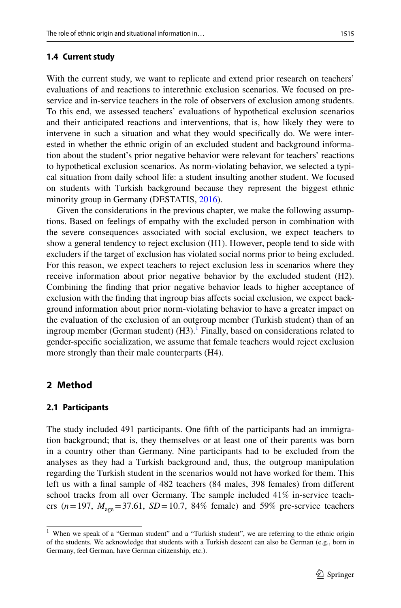#### **1.4 Current study**

With the current study, we want to replicate and extend prior research on teachers' evaluations of and reactions to interethnic exclusion scenarios. We focused on preservice and in-service teachers in the role of observers of exclusion among students. To this end, we assessed teachers' evaluations of hypothetical exclusion scenarios and their anticipated reactions and interventions, that is, how likely they were to intervene in such a situation and what they would specifcally do. We were interested in whether the ethnic origin of an excluded student and background information about the student's prior negative behavior were relevant for teachers' reactions to hypothetical exclusion scenarios. As norm-violating behavior, we selected a typical situation from daily school life: a student insulting another student. We focused on students with Turkish background because they represent the biggest ethnic minority group in Germany (DESTATIS, [2016](#page-20-16)).

Given the considerations in the previous chapter, we make the following assumptions. Based on feelings of empathy with the excluded person in combination with the severe consequences associated with social exclusion, we expect teachers to show a general tendency to reject exclusion (H1). However, people tend to side with excluders if the target of exclusion has violated social norms prior to being excluded. For this reason, we expect teachers to reject exclusion less in scenarios where they receive information about prior negative behavior by the excluded student (H2). Combining the fnding that prior negative behavior leads to higher acceptance of exclusion with the fnding that ingroup bias afects social exclusion, we expect background information about prior norm-violating behavior to have a greater impact on the evaluation of the exclusion of an outgroup member (Turkish student) than of an ingroup member (German student)  $(H3)$ .<sup>[1](#page-4-0)</sup> Finally, based on considerations related to gender-specifc socialization, we assume that female teachers would reject exclusion more strongly than their male counterparts (H4).

### **2 Method**

### **2.1 Participants**

The study included 491 participants. One ffth of the participants had an immigration background; that is, they themselves or at least one of their parents was born in a country other than Germany. Nine participants had to be excluded from the analyses as they had a Turkish background and, thus, the outgroup manipulation regarding the Turkish student in the scenarios would not have worked for them. This left us with a fnal sample of 482 teachers (84 males, 398 females) from diferent school tracks from all over Germany. The sample included 41% in-service teachers ( $n = 197$ ,  $M_{\text{age}} = 37.61$ ,  $SD = 10.7$ , 84% female) and 59% pre-service teachers

<span id="page-4-0"></span><sup>&</sup>lt;sup>1</sup> When we speak of a "German student" and a "Turkish student", we are referring to the ethnic origin of the students. We acknowledge that students with a Turkish descent can also be German (e.g., born in Germany, feel German, have German citizenship, etc.).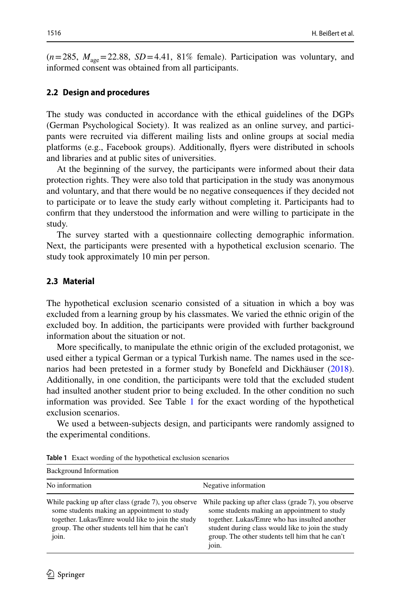$(n=285, M_{\text{age}}=22.88, SD=4.41, 81\%$  female). Participation was voluntary, and informed consent was obtained from all participants.

#### **2.2 Design and procedures**

The study was conducted in accordance with the ethical guidelines of the DGPs (German Psychological Society). It was realized as an online survey, and participants were recruited via diferent mailing lists and online groups at social media platforms (e.g., Facebook groups). Additionally, fyers were distributed in schools and libraries and at public sites of universities.

At the beginning of the survey, the participants were informed about their data protection rights. They were also told that participation in the study was anonymous and voluntary, and that there would be no negative consequences if they decided not to participate or to leave the study early without completing it. Participants had to confrm that they understood the information and were willing to participate in the study.

The survey started with a questionnaire collecting demographic information. Next, the participants were presented with a hypothetical exclusion scenario. The study took approximately 10 min per person.

#### **2.3 Material**

The hypothetical exclusion scenario consisted of a situation in which a boy was excluded from a learning group by his classmates. We varied the ethnic origin of the excluded boy. In addition, the participants were provided with further background information about the situation or not.

More specifcally, to manipulate the ethnic origin of the excluded protagonist, we used either a typical German or a typical Turkish name. The names used in the scenarios had been pretested in a former study by Bonefeld and Dickhäuser ([2018\)](#page-19-5). Additionally, in one condition, the participants were told that the excluded student had insulted another student prior to being excluded. In the other condition no such information was provided. See Table [1](#page-5-0) for the exact wording of the hypothetical exclusion scenarios.

We used a between-subjects design, and participants were randomly assigned to the experimental conditions.

| <b>Background Information</b>                                                                                                                                                                                         |                                                                                                                                                                                                                                                                        |
|-----------------------------------------------------------------------------------------------------------------------------------------------------------------------------------------------------------------------|------------------------------------------------------------------------------------------------------------------------------------------------------------------------------------------------------------------------------------------------------------------------|
| No information                                                                                                                                                                                                        | Negative information                                                                                                                                                                                                                                                   |
| While packing up after class (grade 7), you observe<br>some students making an appointment to study<br>together. Lukas/Emre would like to join the study<br>group. The other students tell him that he can't<br>join. | While packing up after class (grade 7), you observe<br>some students making an appointment to study<br>together. Lukas/Emre who has insulted another<br>student during class would like to join the study<br>group. The other students tell him that he can't<br>join. |

<span id="page-5-0"></span>**Table 1** Exact wording of the hypothetical exclusion scenarios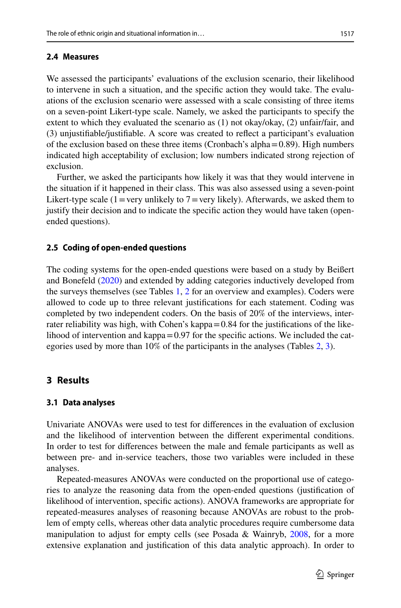### **2.4 Measures**

We assessed the participants' evaluations of the exclusion scenario, their likelihood to intervene in such a situation, and the specifc action they would take. The evaluations of the exclusion scenario were assessed with a scale consisting of three items on a seven-point Likert-type scale. Namely, we asked the participants to specify the extent to which they evaluated the scenario as (1) not okay/okay, (2) unfair/fair, and (3) unjustifable/justifable. A score was created to refect a participant's evaluation of the exclusion based on these three items (Cronbach's alpha $=0.89$ ). High numbers indicated high acceptability of exclusion; low numbers indicated strong rejection of exclusion.

Further, we asked the participants how likely it was that they would intervene in the situation if it happened in their class. This was also assessed using a seven-point Likert-type scale (1 = very unlikely to  $7$  = very likely). Afterwards, we asked them to justify their decision and to indicate the specifc action they would have taken (openended questions).

### **2.5 Coding of open‑ended questions**

The coding systems for the open-ended questions were based on a study by Beißert and Bonefeld ([2020\)](#page-19-3) and extended by adding categories inductively developed from the surveys themselves (see Tables [1,](#page-5-0) [2](#page-7-0) for an overview and examples). Coders were allowed to code up to three relevant justifcations for each statement. Coding was completed by two independent coders. On the basis of 20% of the interviews, interrater reliability was high, with Cohen's kappa=0.84 for the justifications of the likelihood of intervention and kappa $=0.97$  for the specific actions. We included the categories used by more than 10% of the participants in the analyses (Tables [2,](#page-7-0) [3\)](#page-8-0).

# **3 Results**

### **3.1 Data analyses**

Univariate ANOVAs were used to test for diferences in the evaluation of exclusion and the likelihood of intervention between the diferent experimental conditions. In order to test for diferences between the male and female participants as well as between pre- and in-service teachers, those two variables were included in these analyses.

Repeated-measures ANOVAs were conducted on the proportional use of categories to analyze the reasoning data from the open-ended questions (justifcation of likelihood of intervention, specifc actions). ANOVA frameworks are appropriate for repeated-measures analyses of reasoning because ANOVAs are robust to the problem of empty cells, whereas other data analytic procedures require cumbersome data manipulation to adjust for empty cells (see Posada & Wainryb, [2008,](#page-21-13) for a more extensive explanation and justifcation of this data analytic approach). In order to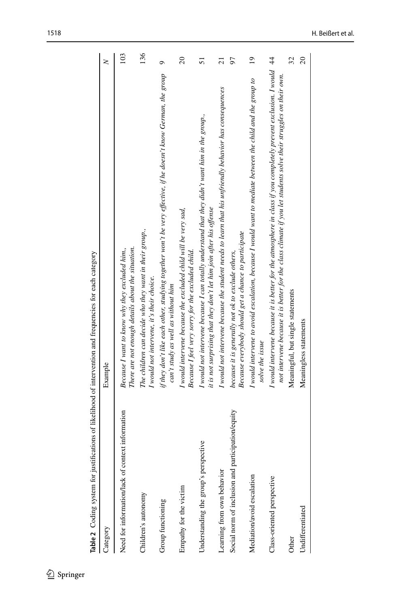<span id="page-7-0"></span>

| Table 2 Coding system for justifications of likelihood of intervention and frequencies for each category |                                                                                                                                                                                                                                        |                 |
|----------------------------------------------------------------------------------------------------------|----------------------------------------------------------------------------------------------------------------------------------------------------------------------------------------------------------------------------------------|-----------------|
| Category                                                                                                 | Example                                                                                                                                                                                                                                | $\geq$          |
| Need for information/lack of context information                                                         | There are not enough details about the situation.<br>Because I want to know why they excluded him.,                                                                                                                                    | 103             |
| Children's autonomy                                                                                      | The children can decide who they want in their group.,<br>I would not intervene, it's their choice.                                                                                                                                    | 136             |
| Group functioning                                                                                        | if they don't like each other, studying together won't be very effective, if he doesn't know German, the group<br>can't study as well as without him                                                                                   | $\sigma$        |
| Empathy for the victim                                                                                   | I would intervene because the excluded child will be very sad,<br>Because I feel very sorry for the excluded child.                                                                                                                    | $\overline{c}$  |
| Understanding the group's perspective                                                                    | I would not intervene because I can totally understand that they didn't want him in the group.,<br>it is not surprising that they don't let him join after his offense                                                                 | 51              |
| Learning from own behavior                                                                               | I would not intervene because the student needs to learn that his unfriendly behavior has consequences                                                                                                                                 | $\overline{z}$  |
| Social norm of inclusion and participation/equity                                                        | Because everybody should get a chance to participate<br>because it is generally not ok to exclude others,                                                                                                                              | 57              |
| Mediation/avoid escalation                                                                               | I would intervene to avoid escalation, because I would want to mediate between the child and the group to<br>solve the issue                                                                                                           | $\overline{19}$ |
| Class-oriented perspective                                                                               | I would intervene because it is better for the atmosphere in class if you completely prevent exclusion. I would 44<br>not intervene because it is better for the class climate if you let students solve their struggles on their own. |                 |
| Other                                                                                                    | Meaningful, but single statements                                                                                                                                                                                                      | 32              |
| Undifferentiated                                                                                         | Meaningless statements                                                                                                                                                                                                                 | $\overline{c}$  |
|                                                                                                          |                                                                                                                                                                                                                                        |                 |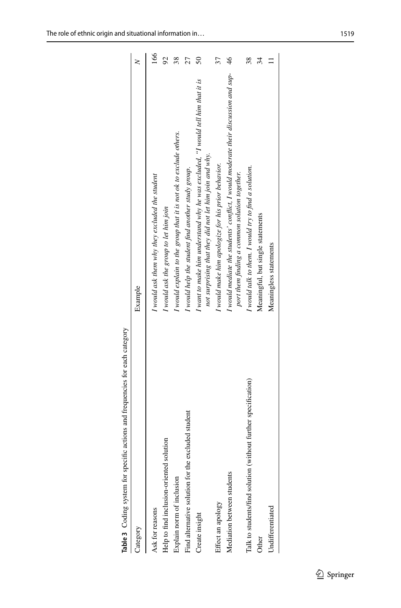<span id="page-8-0"></span>

| Category                                                       | Example                                                                                                                                   |     |
|----------------------------------------------------------------|-------------------------------------------------------------------------------------------------------------------------------------------|-----|
| Ask for reasons                                                | I would ask them why they excluded the student                                                                                            | 166 |
| Help to find inclusion-oriented solution                       | I would ask the group to let him join                                                                                                     | 8   |
| Explain norm of inclusion                                      | I would explain to the group that it is not ok to exclude others.                                                                         | 38  |
| Find alternative solution for the excluded student             | I would help the student find another study group.                                                                                        |     |
| Create insight                                                 | I want to make him understand why he was excluded, "I would tell him that it is<br>not surprising that they did not let him join and why. | ສ   |
| Effect an apology                                              | I would make him apologize for his prior behavior.                                                                                        |     |
| Mediation between students                                     | I would mediate the students' conflict, I would moderate their discussion and sup-<br>port them finding a common solution together.       | 46  |
| Talk to students/find solution (without further specification) | I would talk to them. I would try to find a solution.                                                                                     | 38  |
| Other                                                          | Meaningful, but single statements                                                                                                         | 34  |
| Undifferentiated                                               | Meaningless statements                                                                                                                    |     |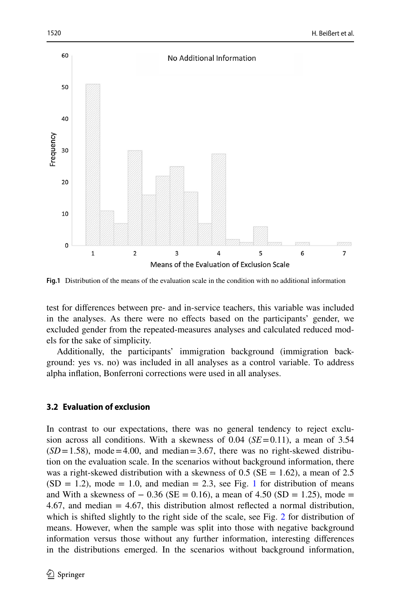

<span id="page-9-0"></span>**Fig.1** Distribution of the means of the evaluation scale in the condition with no additional information

test for diferences between pre- and in-service teachers, this variable was included in the analyses. As there were no efects based on the participants' gender, we excluded gender from the repeated-measures analyses and calculated reduced models for the sake of simplicity.

Additionally, the participants' immigration background (immigration background: yes vs. no) was included in all analyses as a control variable. To address alpha infation, Bonferroni corrections were used in all analyses.

### **3.2 Evaluation of exclusion**

In contrast to our expectations, there was no general tendency to reject exclusion across all conditions. With a skewness of 0.04 (*SE*=0.11), a mean of 3.54  $(SD=1.58)$ , mode  $=4.00$ , and median  $=3.67$ , there was no right-skewed distribution on the evaluation scale. In the scenarios without background information, there was a right-skewed distribution with a skewness of  $0.5$  (SE = 1.62), a mean of 2.5  $(SD = 1.2)$ , mode = 1.0, and median = 2.3, see Fig. [1](#page-9-0) for distribution of means and With a skewness of  $-0.36$  (SE = 0.16), a mean of 4.50 (SD = 1.25), mode = 4.67, and median = 4.67, this distribution almost refected a normal distribution, which is shifted slightly to the right side of the scale, see Fig. [2](#page-10-0) for distribution of means. However, when the sample was split into those with negative background information versus those without any further information, interesting diferences in the distributions emerged. In the scenarios without background information,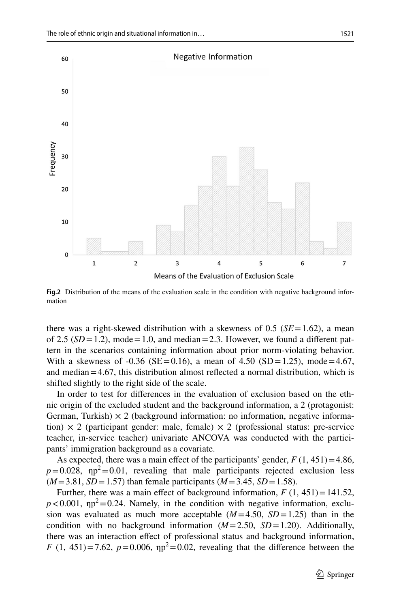

<span id="page-10-0"></span>Fig.2 Distribution of the means of the evaluation scale in the condition with negative background information

there was a right-skewed distribution with a skewness of 0.5 ( $SE = 1.62$ ), a mean of 2.5  $(SD=1.2)$ , mode = 1.0, and median = 2.3. However, we found a different pattern in the scenarios containing information about prior norm-violating behavior. With a skewness of  $-0.36$  (SE=0.16), a mean of 4.50 (SD=1.25), mode=4.67, and median=4.67, this distribution almost refected a normal distribution, which is shifted slightly to the right side of the scale.

In order to test for diferences in the evaluation of exclusion based on the ethnic origin of the excluded student and the background information, a 2 (protagonist: German, Turkish)  $\times$  2 (background information: no information, negative information)  $\times$  2 (participant gender: male, female)  $\times$  2 (professional status: pre-service teacher, in-service teacher) univariate ANCOVA was conducted with the participants' immigration background as a covariate.

As expected, there was a main effect of the participants' gender,  $F(1, 451) = 4.86$ ,  $p=0.028$ ,  $np^2=0.01$ , revealing that male participants rejected exclusion less  $(M=3.81, SD=1.57)$  than female participants  $(M=3.45, SD=1.58)$ .

Further, there was a main effect of background information,  $F(1, 451) = 141.52$ ,  $p < 0.001$ ,  $np^2 = 0.24$ . Namely, in the condition with negative information, exclusion was evaluated as much more acceptable  $(M=4.50, SD=1.25)$  than in the condition with no background information  $(M=2.50, SD=1.20)$ . Additionally, there was an interaction efect of professional status and background information, *F* (1, 451)=7.62,  $p=0.006$ ,  $np^2=0.02$ , revealing that the difference between the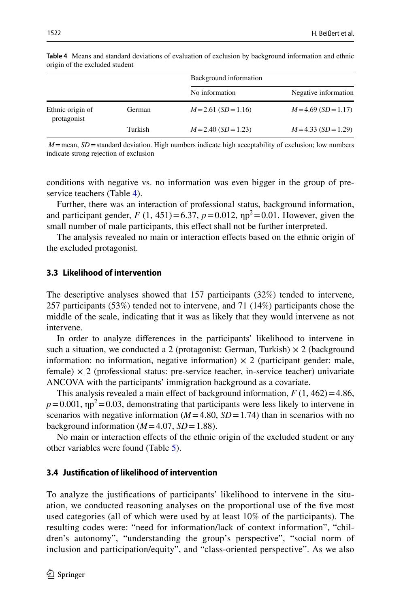|                                 |         | Background information |                      |
|---------------------------------|---------|------------------------|----------------------|
|                                 |         | No information         | Negative information |
| Ethnic origin of<br>protagonist | German  | $M=2.61$ (SD = 1.16)   | $M=4.69$ (SD = 1.17) |
|                                 | Turkish | $M=2.40$ (SD = 1.23)   | $M=4.33$ (SD = 1.29) |

<span id="page-11-0"></span>**Table 4** Means and standard deviations of evaluation of exclusion by background information and ethnic origin of the excluded student

 $M$ =mean,  $SD$ =standard deviation. High numbers indicate high acceptability of exclusion; low numbers indicate strong rejection of exclusion

conditions with negative vs. no information was even bigger in the group of pre-service teachers (Table [4](#page-11-0)).

Further, there was an interaction of professional status, background information, and participant gender,  $F(1, 451) = 6.37$ ,  $p = 0.012$ ,  $np^2 = 0.01$ . However, given the small number of male participants, this effect shall not be further interpreted.

The analysis revealed no main or interaction efects based on the ethnic origin of the excluded protagonist.

### **3.3 Likelihood of intervention**

The descriptive analyses showed that 157 participants (32%) tended to intervene, 257 participants (53%) tended not to intervene, and 71 (14%) participants chose the middle of the scale, indicating that it was as likely that they would intervene as not intervene.

In order to analyze diferences in the participants' likelihood to intervene in such a situation, we conducted a 2 (protagonist: German, Turkish)  $\times$  2 (background information: no information, negative information)  $\times$  2 (participant gender: male, female)  $\times$  2 (professional status: pre-service teacher, in-service teacher) univariate ANCOVA with the participants' immigration background as a covariate.

This analysis revealed a main effect of background information,  $F(1, 462) = 4.86$ ,  $p=0.001$ ,  $np^2=0.03$ , demonstrating that participants were less likely to intervene in scenarios with negative information  $(M=4.80, SD=1.74)$  than in scenarios with no background information  $(M=4.07, SD=1.88)$ .

No main or interaction efects of the ethnic origin of the excluded student or any other variables were found (Table [5](#page-12-0)).

#### **3.4 Justifcation of likelihood of intervention**

To analyze the justifcations of participants' likelihood to intervene in the situation, we conducted reasoning analyses on the proportional use of the fve most used categories (all of which were used by at least 10% of the participants). The resulting codes were: "need for information/lack of context information", "children's autonomy", "understanding the group's perspective", "social norm of inclusion and participation/equity", and "class-oriented perspective". As we also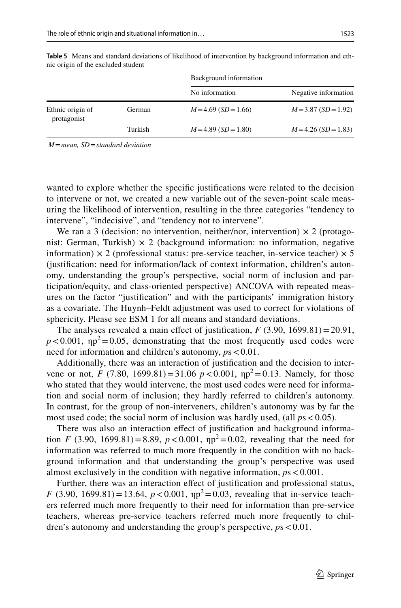|                                 |         | Background information |                      |
|---------------------------------|---------|------------------------|----------------------|
|                                 |         | No information         | Negative information |
| Ethnic origin of<br>protagonist | German  | $M=4.69$ (SD = 1.66)   | $M=3.87$ (SD = 1.92) |
|                                 | Turkish | $M=4.89$ (SD = 1.80)   | $M=4.26$ (SD = 1.83) |
|                                 |         |                        |                      |

<span id="page-12-0"></span>**Table 5** Means and standard deviations of likelihood of intervention by background information and ethnic origin of the excluded student

 *M*=*mean, SD*=*standard deviation*

wanted to explore whether the specifc justifcations were related to the decision to intervene or not, we created a new variable out of the seven-point scale measuring the likelihood of intervention, resulting in the three categories "tendency to intervene", "indecisive", and "tendency not to intervene".

We ran a 3 (decision: no intervention, neither/nor, intervention)  $\times$  2 (protagonist: German, Turkish)  $\times$  2 (background information: no information, negative information)  $\times$  2 (professional status: pre-service teacher, in-service teacher)  $\times$  5 (justifcation: need for information/lack of context information, children's autonomy, understanding the group's perspective, social norm of inclusion and participation/equity, and class-oriented perspective) ANCOVA with repeated measures on the factor "justifcation" and with the participants' immigration history as a covariate. The Huynh–Feldt adjustment was used to correct for violations of sphericity. Please see ESM 1 for all means and standard deviations.

The analyses revealed a main effect of justification,  $F(3.90, 1699.81) = 20.91$ ,  $p < 0.001$ ,  $np^2 = 0.05$ , demonstrating that the most frequently used codes were need for information and children's autonomy,  $ps < 0.01$ .

Additionally, there was an interaction of justifcation and the decision to intervene or not, *F* (7.80, 1699.81)=31.06  $p < 0.001$ ,  $np^2 = 0.13$ . Namely, for those who stated that they would intervene, the most used codes were need for information and social norm of inclusion; they hardly referred to children's autonomy. In contrast, for the group of non-interveners, children's autonomy was by far the most used code; the social norm of inclusion was hardly used, (all  $ps < 0.05$ ).

There was also an interaction efect of justifcation and background information *F* (3.90, 1699.81) = 8.89,  $p < 0.001$ ,  $np^2 = 0.02$ , revealing that the need for information was referred to much more frequently in the condition with no background information and that understanding the group's perspective was used almost exclusively in the condition with negative information, *p*s<0.001.

Further, there was an interaction effect of justification and professional status, *F* (3.90, 1699.81) = 13.64,  $p < 0.001$ ,  $np^2 = 0.03$ , revealing that in-service teachers referred much more frequently to their need for information than pre-service teachers, whereas pre-service teachers referred much more frequently to children's autonomy and understanding the group's perspective, *p*s<0.01.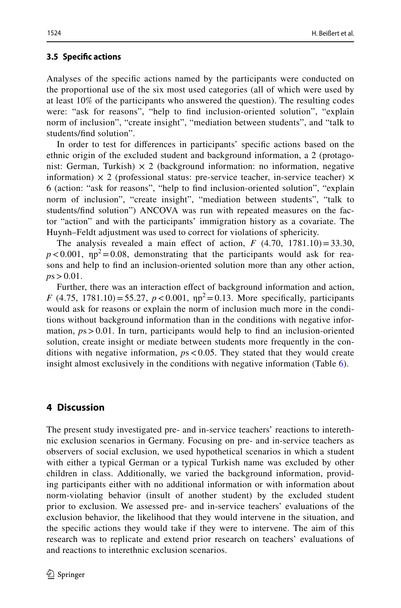### **3.5 Specifc actions**

Analyses of the specifc actions named by the participants were conducted on the proportional use of the six most used categories (all of which were used by at least 10% of the participants who answered the question). The resulting codes were: "ask for reasons", "help to fnd inclusion-oriented solution", "explain norm of inclusion", "create insight", "mediation between students", and "talk to students/fnd solution".

In order to test for diferences in participants' specifc actions based on the ethnic origin of the excluded student and background information, a 2 (protagonist: German, Turkish)  $\times$  2 (background information: no information, negative information)  $\times$  2 (professional status: pre-service teacher, in-service teacher)  $\times$ 6 (action: "ask for reasons", "help to fnd inclusion-oriented solution", "explain norm of inclusion", "create insight", "mediation between students", "talk to students/fnd solution") ANCOVA was run with repeated measures on the factor "action" and with the participants' immigration history as a covariate. The Huynh–Feldt adjustment was used to correct for violations of sphericity.

The analysis revealed a main effect of action,  $F(4.70, 1781.10) = 33.30$ ,  $p < 0.001$ ,  $np^2 = 0.08$ , demonstrating that the participants would ask for reasons and help to fnd an inclusion-oriented solution more than any other action,  $p s > 0.01$ .

Further, there was an interaction efect of background information and action, *F* (4.75, 1781.10) = 55.27,  $p < 0.001$ ,  $np^2 = 0.13$ . More specifically, participants would ask for reasons or explain the norm of inclusion much more in the conditions without background information than in the conditions with negative information,  $ps > 0.01$ . In turn, participants would help to find an inclusion-oriented solution, create insight or mediate between students more frequently in the conditions with negative information, *p*s<0.05. They stated that they would create insight almost exclusively in the conditions with negative information (Table [6\)](#page-14-0).

# **4 Discussion**

The present study investigated pre- and in-service teachers' reactions to interethnic exclusion scenarios in Germany. Focusing on pre- and in-service teachers as observers of social exclusion, we used hypothetical scenarios in which a student with either a typical German or a typical Turkish name was excluded by other children in class. Additionally, we varied the background information, providing participants either with no additional information or with information about norm-violating behavior (insult of another student) by the excluded student prior to exclusion. We assessed pre- and in-service teachers' evaluations of the exclusion behavior, the likelihood that they would intervene in the situation, and the specifc actions they would take if they were to intervene. The aim of this research was to replicate and extend prior research on teachers' evaluations of and reactions to interethnic exclusion scenarios.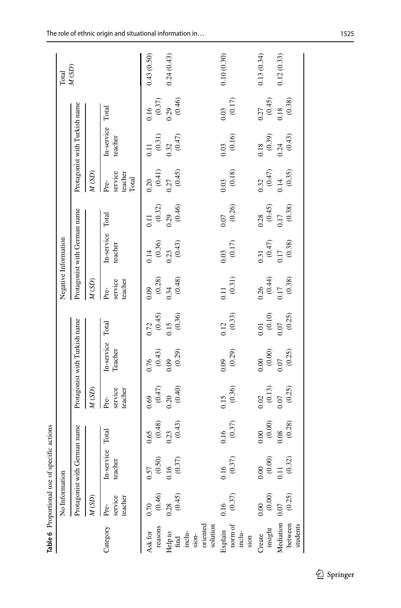<span id="page-14-0"></span>

|                                                                                              |                            | Table 6 Proportional use of specific actions                    |                       |                            |                               |                                                      |                            |                                              |                                                       |                                     |                                                       |                       |            |
|----------------------------------------------------------------------------------------------|----------------------------|-----------------------------------------------------------------|-----------------------|----------------------------|-------------------------------|------------------------------------------------------|----------------------------|----------------------------------------------|-------------------------------------------------------|-------------------------------------|-------------------------------------------------------|-----------------------|------------|
|                                                                                              | No Information             |                                                                 |                       |                            |                               |                                                      |                            | Negative Information                         |                                                       |                                     |                                                       |                       | Total      |
|                                                                                              | Protagonist with G         |                                                                 | erman name            |                            | Protagonist with Turkish name |                                                      |                            | Protagonist with German name                 |                                                       |                                     | Protagonist with Turkish name                         |                       | M(SD)      |
|                                                                                              | M(SD)                      |                                                                 |                       | M(SD)                      |                               |                                                      | M(SD)                      |                                              |                                                       | M(SD)                               |                                                       |                       |            |
| Category                                                                                     | service<br>teacher<br>Pre- | In-service<br>teacher                                           | Total                 | service<br>teacher<br>Pre- | In-service<br>Teacher         | Total                                                | service<br>teacher<br>Pre- | In-service<br>teacher                        | Total                                                 | service<br>teacher<br>Total<br>Pre- | In-service<br>teacher                                 | Total                 |            |
| reasons<br>Ask for                                                                           | (0.46)<br>0.70             | $\begin{array}{c} 0.57 \\(0.50) \end{array}$                    | $0.65$<br>(0.48)      | $0.69$ $(0.47)$            | $\frac{0.76}{(0.43)}$         | $0.72$<br>(0.45)                                     | (0.28)<br>0.09             | (0.36)<br>0.14                               | $\overline{0.11}$                                     | (0.41)<br>0.20                      | (0.31)<br>$\overline{0.11}$                           | (0.37)<br>0.16        | 0.43(0.50) |
| $\begin{array}{c} \mathrm{Help}\ \mathrm{to} \\ \mathrm{find} \\ \mathrm{inclu} \end{array}$ | (0.45)<br>0.28             | (0.37)<br>0.16                                                  | (0.43)<br>0.23        | $0.20$<br>$(0.40)$         | (0.29)<br>0.09                | (0.36)<br>0.15                                       | $0.34$ (0.48)              | (0.43)<br>0.23                               | (0.46)<br>$(0.32)$<br>0.29                            | (0.45)<br>0.27                      | (0.47)<br>0.32                                        | (0.46)<br>0.29        | 0.24(0.43) |
| sion-<br>oriented<br>solution                                                                |                            |                                                                 |                       |                            |                               |                                                      |                            |                                              |                                                       |                                     |                                                       |                       |            |
| norm of<br>inclu-<br>Explain<br>sion                                                         | (0.37)<br>0.16             | (0.37)<br>0.16                                                  | $\frac{0.16}{(0.37)}$ | $\frac{0.15}{(0.36)}$      | $0.09$<br>$(0.29)$            | $\frac{0.12}{(0.33)}$                                | $\frac{0.11}{(0.31)}$      | $\begin{array}{c} 0.03 \\ 0.17) \end{array}$ | $\frac{0.07}{(0.26)}$                                 | $\frac{0.03}{(0.18)}$               | $\frac{0.03}{(0.16)}$                                 | $0.03$ $(0.17)$       | 0.10(0.30) |
| insight<br>Create                                                                            | (0.00)<br>0.00             |                                                                 | $0.00\atop(0.00)$     | $\frac{0.02}{(0.13)}$      | $0.00\atop(0.00)$             | $\begin{array}{c} 0.01 \\ 0.10) \\ 0.07 \end{array}$ | $\frac{0.26}{(0.44)}$      | $\frac{0.31}{(0.47)}$                        | $\begin{array}{c} 0.28 \\ (0.45) \\ 0.17 \end{array}$ | $\frac{0.32}{(0.47)}$               | $\begin{array}{c} 0.18 \\ (0.39) \\ 0.24 \end{array}$ | $0.27$<br>(0.45)      | 0.13(0.34) |
| Mediation<br>between<br>students                                                             | (0.25)<br>0.07             | $\begin{array}{c} 0.00 \\ (0.00) \\ 0.11 \\ (0.32) \end{array}$ | $\frac{0.08}{(0.28)}$ | $0.07$<br>(0.25)           | (0.25)<br>0.07                | (0.25)                                               | $\frac{0.17}{(0.38)}$      | (0.38)<br>0.17                               | (0.38)                                                | $\frac{0.14}{(0.35)}$               | (0.43)                                                | $\frac{0.18}{(0.38)}$ | 0.12(0.33) |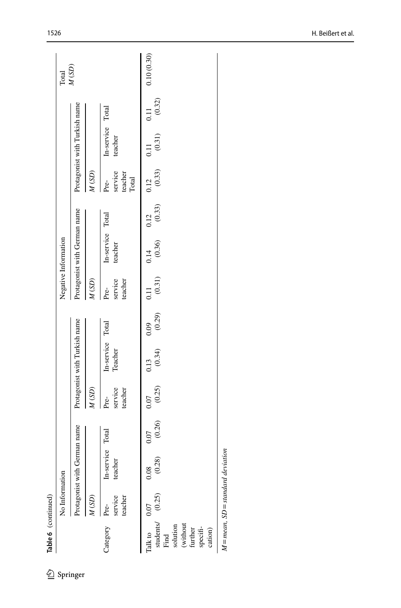|                                                                           | No Information             |                                |             |                            |                               |                           |                            | Negative Information                        |      |                                     |                               |      | Total               |
|---------------------------------------------------------------------------|----------------------------|--------------------------------|-------------|----------------------------|-------------------------------|---------------------------|----------------------------|---------------------------------------------|------|-------------------------------------|-------------------------------|------|---------------------|
|                                                                           | Protagonist with           |                                | jerman name |                            | Protagonist with Turkish name |                           |                            | Protagonist with German name                |      |                                     | Protagonist with Turkish name |      | $M\left( SD\right)$ |
|                                                                           | M(SD)                      |                                |             | $M\left( \text{SD}\right)$ |                               |                           | M(SD)                      |                                             |      | M(SD)                               |                               |      |                     |
| Category                                                                  | teacher<br>service<br>Pre- | In-service Total<br>ă<br>teach |             | service<br>teacher<br>Pre- | In-service Total<br>Teacher   |                           | service<br>teacher<br>Pre- | In-service Total<br>teacher                 |      | service<br>teacher<br>Pre-<br>Total | In-service Total<br>teacher   |      |                     |
| (without<br>solution<br>specifi-<br>further<br>cation)<br>Talk to<br>Find | students/ (0.25)<br>0.07   | (0.28)<br>0.08                 | 0.07        | $(0.26)$ $(0.25)$<br>0.07  | 0.13                          | $(0.34)$ $(0.29)$<br>0.09 | $\frac{11}{2}$             | $(0.31)$ $(0.36)$ $(0.33)$ $(0.33)$<br>0.14 | 0.12 | 0.12                                | $(0.31)$ $(0.32)$<br>0.11     | 0.11 | 0.10(0.30)          |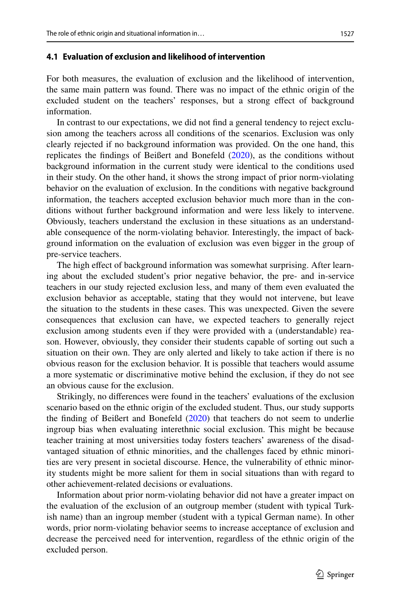#### **4.1 Evaluation of exclusion and likelihood of intervention**

For both measures, the evaluation of exclusion and the likelihood of intervention, the same main pattern was found. There was no impact of the ethnic origin of the excluded student on the teachers' responses, but a strong efect of background information.

In contrast to our expectations, we did not fnd a general tendency to reject exclusion among the teachers across all conditions of the scenarios. Exclusion was only clearly rejected if no background information was provided. On the one hand, this replicates the fndings of Beißert and Bonefeld ([2020\)](#page-19-3), as the conditions without background information in the current study were identical to the conditions used in their study. On the other hand, it shows the strong impact of prior norm-violating behavior on the evaluation of exclusion. In the conditions with negative background information, the teachers accepted exclusion behavior much more than in the conditions without further background information and were less likely to intervene. Obviously, teachers understand the exclusion in these situations as an understandable consequence of the norm-violating behavior. Interestingly, the impact of background information on the evaluation of exclusion was even bigger in the group of pre-service teachers.

The high efect of background information was somewhat surprising. After learning about the excluded student's prior negative behavior, the pre- and in-service teachers in our study rejected exclusion less, and many of them even evaluated the exclusion behavior as acceptable, stating that they would not intervene, but leave the situation to the students in these cases. This was unexpected. Given the severe consequences that exclusion can have, we expected teachers to generally reject exclusion among students even if they were provided with a (understandable) reason. However, obviously, they consider their students capable of sorting out such a situation on their own. They are only alerted and likely to take action if there is no obvious reason for the exclusion behavior. It is possible that teachers would assume a more systematic or discriminative motive behind the exclusion, if they do not see an obvious cause for the exclusion.

Strikingly, no diferences were found in the teachers' evaluations of the exclusion scenario based on the ethnic origin of the excluded student. Thus, our study supports the fnding of Beißert and Bonefeld ([2020\)](#page-19-3) that teachers do not seem to underlie ingroup bias when evaluating interethnic social exclusion. This might be because teacher training at most universities today fosters teachers' awareness of the disadvantaged situation of ethnic minorities, and the challenges faced by ethnic minorities are very present in societal discourse. Hence, the vulnerability of ethnic minority students might be more salient for them in social situations than with regard to other achievement-related decisions or evaluations.

Information about prior norm-violating behavior did not have a greater impact on the evaluation of the exclusion of an outgroup member (student with typical Turkish name) than an ingroup member (student with a typical German name). In other words, prior norm-violating behavior seems to increase acceptance of exclusion and decrease the perceived need for intervention, regardless of the ethnic origin of the excluded person.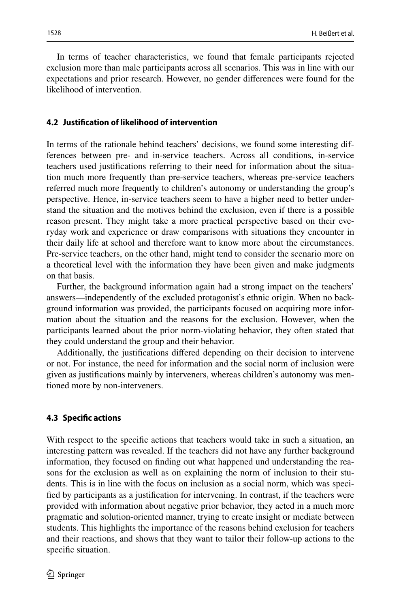In terms of teacher characteristics, we found that female participants rejected exclusion more than male participants across all scenarios. This was in line with our expectations and prior research. However, no gender diferences were found for the likelihood of intervention.

### **4.2 Justifcation of likelihood of intervention**

In terms of the rationale behind teachers' decisions, we found some interesting differences between pre- and in-service teachers. Across all conditions, in-service teachers used justifcations referring to their need for information about the situation much more frequently than pre-service teachers, whereas pre-service teachers referred much more frequently to children's autonomy or understanding the group's perspective. Hence, in-service teachers seem to have a higher need to better understand the situation and the motives behind the exclusion, even if there is a possible reason present. They might take a more practical perspective based on their everyday work and experience or draw comparisons with situations they encounter in their daily life at school and therefore want to know more about the circumstances. Pre-service teachers, on the other hand, might tend to consider the scenario more on a theoretical level with the information they have been given and make judgments on that basis.

Further, the background information again had a strong impact on the teachers' answers—independently of the excluded protagonist's ethnic origin. When no background information was provided, the participants focused on acquiring more information about the situation and the reasons for the exclusion. However, when the participants learned about the prior norm-violating behavior, they often stated that they could understand the group and their behavior.

Additionally, the justifcations difered depending on their decision to intervene or not. For instance, the need for information and the social norm of inclusion were given as justifcations mainly by interveners, whereas children's autonomy was mentioned more by non-interveners.

#### **4.3 Specifc actions**

With respect to the specifc actions that teachers would take in such a situation, an interesting pattern was revealed. If the teachers did not have any further background information, they focused on fnding out what happened und understanding the reasons for the exclusion as well as on explaining the norm of inclusion to their students. This is in line with the focus on inclusion as a social norm, which was specifed by participants as a justifcation for intervening. In contrast, if the teachers were provided with information about negative prior behavior, they acted in a much more pragmatic and solution-oriented manner, trying to create insight or mediate between students. This highlights the importance of the reasons behind exclusion for teachers and their reactions, and shows that they want to tailor their follow-up actions to the specific situation.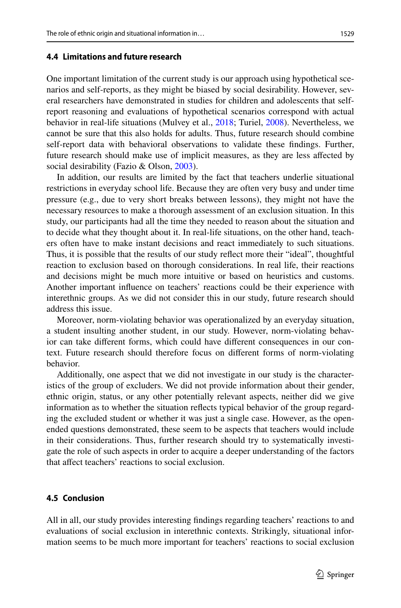### **4.4 Limitations and future research**

One important limitation of the current study is our approach using hypothetical scenarios and self-reports, as they might be biased by social desirability. However, several researchers have demonstrated in studies for children and adolescents that selfreport reasoning and evaluations of hypothetical scenarios correspond with actual behavior in real-life situations (Mulvey et al., [2018](#page-21-14); Turiel, [2008](#page-21-15)). Nevertheless, we cannot be sure that this also holds for adults. Thus, future research should combine self-report data with behavioral observations to validate these fndings. Further, future research should make use of implicit measures, as they are less afected by social desirability (Fazio & Olson, [2003](#page-20-17)).

In addition, our results are limited by the fact that teachers underlie situational restrictions in everyday school life. Because they are often very busy and under time pressure (e.g., due to very short breaks between lessons), they might not have the necessary resources to make a thorough assessment of an exclusion situation. In this study, our participants had all the time they needed to reason about the situation and to decide what they thought about it. In real-life situations, on the other hand, teachers often have to make instant decisions and react immediately to such situations. Thus, it is possible that the results of our study refect more their "ideal", thoughtful reaction to exclusion based on thorough considerations. In real life, their reactions and decisions might be much more intuitive or based on heuristics and customs. Another important infuence on teachers' reactions could be their experience with interethnic groups. As we did not consider this in our study, future research should address this issue.

Moreover, norm-violating behavior was operationalized by an everyday situation, a student insulting another student, in our study. However, norm-violating behavior can take diferent forms, which could have diferent consequences in our context. Future research should therefore focus on diferent forms of norm-violating behavior.

Additionally, one aspect that we did not investigate in our study is the characteristics of the group of excluders. We did not provide information about their gender, ethnic origin, status, or any other potentially relevant aspects, neither did we give information as to whether the situation refects typical behavior of the group regarding the excluded student or whether it was just a single case. However, as the openended questions demonstrated, these seem to be aspects that teachers would include in their considerations. Thus, further research should try to systematically investigate the role of such aspects in order to acquire a deeper understanding of the factors that afect teachers' reactions to social exclusion.

### **4.5 Conclusion**

All in all, our study provides interesting fndings regarding teachers' reactions to and evaluations of social exclusion in interethnic contexts. Strikingly, situational information seems to be much more important for teachers' reactions to social exclusion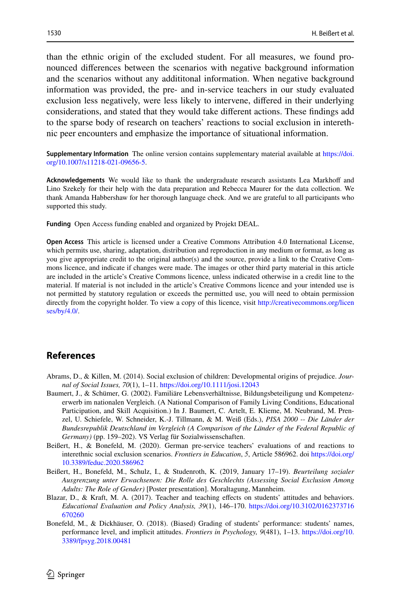than the ethnic origin of the excluded student. For all measures, we found pronounced diferences between the scenarios with negative background information and the scenarios without any addititonal information. When negative background information was provided, the pre- and in-service teachers in our study evaluated exclusion less negatively, were less likely to intervene, difered in their underlying considerations, and stated that they would take diferent actions. These fndings add to the sparse body of research on teachers' reactions to social exclusion in interethnic peer encounters and emphasize the importance of situational information.

**Supplementary Information** The online version contains supplementary material available at [https://doi.](https://doi.org/10.1007/s11218-021-09656-5) [org/10.1007/s11218-021-09656-5](https://doi.org/10.1007/s11218-021-09656-5).

Acknowledgements We would like to thank the undergraduate research assistants Lea Markhoff and Lino Szekely for their help with the data preparation and Rebecca Maurer for the data collection. We thank Amanda Habbershaw for her thorough language check. And we are grateful to all participants who supported this study.

**Funding** Open Access funding enabled and organized by Projekt DEAL.

**Open Access** This article is licensed under a Creative Commons Attribution 4.0 International License, which permits use, sharing, adaptation, distribution and reproduction in any medium or format, as long as you give appropriate credit to the original author(s) and the source, provide a link to the Creative Commons licence, and indicate if changes were made. The images or other third party material in this article are included in the article's Creative Commons licence, unless indicated otherwise in a credit line to the material. If material is not included in the article's Creative Commons licence and your intended use is not permitted by statutory regulation or exceeds the permitted use, you will need to obtain permission directly from the copyright holder. To view a copy of this licence, visit [http://creativecommons.org/licen](http://creativecommons.org/licenses/by/4.0/) [ses/by/4.0/](http://creativecommons.org/licenses/by/4.0/).

### **References**

- <span id="page-19-1"></span>Abrams, D., & Killen, M. (2014). Social exclusion of children: Developmental origins of prejudice. *Journal of Social Issues, 70*(1), 1–11.<https://doi.org/10.1111/josi.12043>
- <span id="page-19-0"></span>Baumert, J., & Schümer, G. (2002). Familiäre Lebensverhältnisse, Bildungsbeteiligung und Kompetenzerwerb im nationalen Vergleich. (A National Comparison of Family Living Conditions, Educational Participation, and Skill Acquisition.) In J. Baumert, C. Artelt, E. Klieme, M. Neubrand, M. Prenzel, U. Schiefele, W. Schneider, K.-J. Tillmann, & M. Weiß (Eds.), *PISA 2000 -- Die Länder der Bundesrepublik Deutschland im Vergleich (A Comparison of the Länder of the Federal Republic of Germany)* (pp. 159–202). VS Verlag für Sozialwissenschaften.
- <span id="page-19-3"></span>Beißert, H., & Bonefeld, M. (2020). German pre-service teachers' evaluations of and reactions to interethnic social exclusion scenarios. *Frontiers in Education*, *5*, Article 586962. doi [https://doi.org/](https://doi.org/10.3389/feduc.2020.586962) [10.3389/feduc.2020.586962](https://doi.org/10.3389/feduc.2020.586962)
- <span id="page-19-4"></span>Beißert, H., Bonefeld, M., Schulz, I., & Studenroth, K. (2019, January 17–19). *Beurteilung sozialer Ausgrenzung unter Erwachsenen: Die Rolle des Geschlechts (Assessing Social Exclusion Among Adults: The Role of Gender)* [Poster presentation]. Moraltagung, Mannheim.
- <span id="page-19-2"></span>Blazar, D., & Kraft, M. A. (2017). Teacher and teaching efects on students' attitudes and behaviors. *Educational Evaluation and Policy Analysis, 39*(1), 146–170. [https://doi.org/10.3102/0162373716](https://doi.org/10.3102/0162373716670260) [670260](https://doi.org/10.3102/0162373716670260)
- <span id="page-19-5"></span>Bonefeld, M., & Dickhäuser, O. (2018). (Biased) Grading of students' performance: students' names, performance level, and implicit attitudes. *Frontiers in Psychology, 9*(481), 1–13. [https://doi.org/10.](https://doi.org/10.3389/fpsyg.2018.00481) [3389/fpsyg.2018.00481](https://doi.org/10.3389/fpsyg.2018.00481)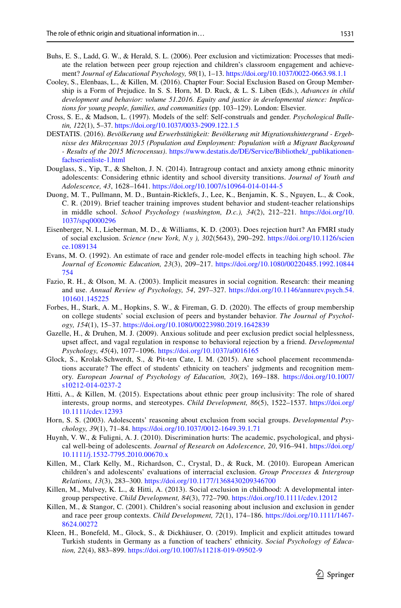- <span id="page-20-3"></span>Buhs, E. S., Ladd, G. W., & Herald, S. L. (2006). Peer exclusion and victimization: Processes that mediate the relation between peer group rejection and children's classroom engagement and achievement? *Journal of Educational Psychology, 98*(1), 1–13. <https://doi.org/10.1037/0022-0663.98.1.1>
- <span id="page-20-10"></span>Cooley, S., Elenbaas, L., & Killen, M. (2016). Chapter Four: Social Exclusion Based on Group Membership is a Form of Prejudice. In S. S. Horn, M. D. Ruck, & L. S. Liben (Eds.), *Advances in child development and behavior: volume 51.2016. Equity and justice in developmental sience: Implications for young people, families, and communities* (pp. 103–129). London: Elsevier.
- <span id="page-20-14"></span>Cross, S. E., & Madson, L. (1997). Models of the self: Self-construals and gender. *Psychological Bulletin, 122*(1), 5–37. <https://doi.org/10.1037/0033-2909.122.1.5>
- <span id="page-20-16"></span>DESTATIS. (2016). *Bevölkerung und Erwerbstätigkeit: Bevölkerung mit Migrationshintergrund - Ergebnisse des Mikrozensus 2015 (Population and Employment: Population with a Migrant Background - Results of the 2015 Microcensus)*. [https://www.destatis.de/DE/Service/Bibliothek/\\_publikationen](https://www.destatis.de/DE/Service/Bibliothek/_publikationen-fachserienliste-1.html)[fachserienliste-1.html](https://www.destatis.de/DE/Service/Bibliothek/_publikationen-fachserienliste-1.html)
- Douglass, S., Yip, T., & Shelton, J. N. (2014). Intragroup contact and anxiety among ethnic minority adolescents: Considering ethnic identity and school diversity transitions. *Journal of Youth and Adolescence, 43*, 1628–1641.<https://doi.org/10.1007/s10964-014-0144-5>
- <span id="page-20-8"></span>Duong, M. T., Pullmann, M. D., Buntain-Ricklefs, J., Lee, K., Benjamin, K. S., Nguyen, L., & Cook, C. R. (2019). Brief teacher training improves student behavior and student-teacher relationships in middle school. *School Psychology (washington, D.c.), 34*(2), 212–221. [https://doi.org/10.](https://doi.org/10.1037/spq0000296) [1037/spq0000296](https://doi.org/10.1037/spq0000296)
- <span id="page-20-1"></span>Eisenberger, N. I., Lieberman, M. D., & Williams, K. D. (2003). Does rejection hurt? An FMRI study of social exclusion. *Science (new York, N.y ), 302*(5643), 290–292. [https://doi.org/10.1126/scien](https://doi.org/10.1126/science.1089134) [ce.1089134](https://doi.org/10.1126/science.1089134)
- <span id="page-20-9"></span>Evans, M. O. (1992). An estimate of race and gender role-model efects in teaching high school. *The Journal of Economic Education, 23*(3), 209–217. [https://doi.org/10.1080/00220485.1992.10844](https://doi.org/10.1080/00220485.1992.10844754) [754](https://doi.org/10.1080/00220485.1992.10844754)
- <span id="page-20-17"></span>Fazio, R. H., & Olson, M. A. (2003). Implicit measures in social cognition. Research: their meaning and use. *Annual Review of Psychology, 54*, 297–327. [https://doi.org/10.1146/annurev.psych.54.](https://doi.org/10.1146/annurev.psych.54.101601.145225) [101601.145225](https://doi.org/10.1146/annurev.psych.54.101601.145225)
- <span id="page-20-11"></span>Forbes, H., Stark, A. M., Hopkins, S. W., & Fireman, G. D. (2020). The efects of group membership on college students' social exclusion of peers and bystander behavior. *The Journal of Psychology, 154*(1), 15–37. <https://doi.org/10.1080/00223980.2019.1642839>
- <span id="page-20-2"></span>Gazelle, H., & Druhen, M. J. (2009). Anxious solitude and peer exclusion predict social helplessness, upset afect, and vagal regulation in response to behavioral rejection by a friend. *Developmental Psychology, 45*(4), 1077–1096.<https://doi.org/10.1037/a0016165>
- <span id="page-20-0"></span>Glock, S., Krolak-Schwerdt, S., & Pit-ten Cate, I. M. (2015). Are school placement recommendations accurate? The efect of students' ethnicity on teachers' judgments and recognition memory. *European Journal of Psychology of Education, 30*(2), 169–188. [https://doi.org/10.1007/](https://doi.org/10.1007/s10212-014-0237-2) [s10212-014-0237-2](https://doi.org/10.1007/s10212-014-0237-2)
- <span id="page-20-5"></span>Hitti, A., & Killen, M. (2015). Expectations about ethnic peer group inclusivity: The role of shared interests, group norms, and stereotypes. *Child Development, 86*(5), 1522–1537. [https://doi.org/](https://doi.org/10.1111/cdev.12393) [10.1111/cdev.12393](https://doi.org/10.1111/cdev.12393)
- <span id="page-20-12"></span>Horn, S. S. (2003). Adolescents' reasoning about exclusion from social groups. *Developmental Psychology, 39*(1), 71–84. <https://doi.org/10.1037/0012-1649.39.1.71>
- <span id="page-20-4"></span>Huynh, V. W., & Fuligni, A. J. (2010). Discrimination hurts: The academic, psychological, and physical well-being of adolescents. *Journal of Research on Adolescence, 20*, 916–941. [https://doi.org/](https://doi.org/10.1111/j.1532-7795.2010.00670.x) [10.1111/j.1532-7795.2010.00670.x](https://doi.org/10.1111/j.1532-7795.2010.00670.x)
- <span id="page-20-6"></span>Killen, M., Clark Kelly, M., Richardson, C., Crystal, D., & Ruck, M. (2010). European American children's and adolescents' evaluations of interracial exclusion. *Group Processes & Intergroup Relations, 13*(3), 283–300.<https://doi.org/10.1177/1368430209346700>
- <span id="page-20-7"></span>Killen, M., Mulvey, K. L., & Hitti, A. (2013). Social exclusion in childhood: A developmental intergroup perspective. *Child Development, 84*(3), 772–790.<https://doi.org/10.1111/cdev.12012>
- <span id="page-20-13"></span>Killen, M., & Stangor, C. (2001). Children's social reasoning about inclusion and exclusion in gender and race peer group contexts. *Child Development, 72*(1), 174–186. [https://doi.org/10.1111/1467-](https://doi.org/10.1111/1467-8624.00272) [8624.00272](https://doi.org/10.1111/1467-8624.00272)
- <span id="page-20-15"></span>Kleen, H., Bonefeld, M., Glock, S., & Dickhäuser, O. (2019). Implicit and explicit attitudes toward Turkish students in Germany as a function of teachers' ethnicity. *Social Psychology of Education, 22*(4), 883–899.<https://doi.org/10.1007/s11218-019-09502-9>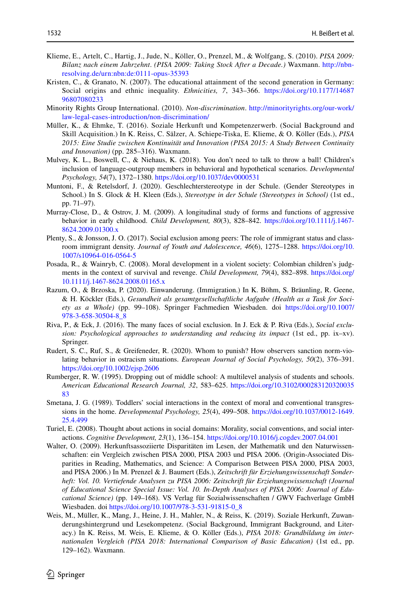- <span id="page-21-4"></span>Klieme, E., Artelt, C., Hartig, J., Jude, N., Köller, O., Prenzel, M., & Wolfgang, S. (2010). *PISA 2009: Bilanz nach einem Jahrzehnt*. *(PISA 2009: Taking Stock After a Decade.)* Waxmann. [http://nbn](http://nbn-resolving.de/urn:nbn:de:0111-opus-35393)[resolving.de/urn:nbn:de:0111-opus-35393](http://nbn-resolving.de/urn:nbn:de:0111-opus-35393)
- <span id="page-21-3"></span>Kristen, C., & Granato, N. (2007). The educational attainment of the second generation in Germany: Social origins and ethnic inequality. *Ethnicities, 7*, 343–366. [https://doi.org/10.1177/14687](https://doi.org/10.1177/1468796807080233) [96807080233](https://doi.org/10.1177/1468796807080233)
- <span id="page-21-9"></span>Minority Rights Group International. (2010). *Non-discrimination*. [http://minorityrights.org/our-work/](http://minorityrights.org/our-work/law-legal-cases-introduction/non-discrimination/) [law-legal-cases-introduction/non-discrimination/](http://minorityrights.org/our-work/law-legal-cases-introduction/non-discrimination/)
- <span id="page-21-1"></span>Müller, K., & Ehmke, T. (2016). Soziale Herkunft und Kompetenzerwerb. (Social Background and Skill Acquisition.) In K. Reiss, C. Sälzer, A. Schiepe-Tiska, E. Klieme, & O. Köller (Eds.), *PISA 2015: Eine Studie zwischen Kontinuität und Innovation (PISA 2015: A Study Between Continuity and Innovation)* (pp. 285–316). Waxmann.
- <span id="page-21-14"></span>Mulvey, K. L., Boswell, C., & Niehaus, K. (2018). You don't need to talk to throw a ball! Children's inclusion of language-outgroup members in behavioral and hypothetical scenarios. *Developmental Psychology, 54*(7), 1372–1380. <https://doi.org/10.1037/dev0000531>
- <span id="page-21-11"></span>Muntoni, F., & Retelsdorf, J. (2020). Geschlechterstereotype in der Schule. (Gender Stereotypes in School.) In S. Glock & H. Kleen (Eds.), *Stereotype in der Schule (Stereotypes in School)* (1st ed., pp. 71–97).
- <span id="page-21-8"></span>Murray-Close, D., & Ostrov, J. M. (2009). A longitudinal study of forms and functions of aggressive behavior in early childhood. *Child Development, 80*(3), 828–842. [https://doi.org/10.1111/j.1467-](https://doi.org/10.1111/j.1467-8624.2009.01300.x) [8624.2009.01300.x](https://doi.org/10.1111/j.1467-8624.2009.01300.x)
- <span id="page-21-10"></span>Plenty, S., & Jonsson, J. O. (2017). Social exclusion among peers: The role of immigrant status and classroom immigrant density. *Journal of Youth and Adolescence, 46*(6), 1275–1288. [https://doi.org/10.](https://doi.org/10.1007/s10964-016-0564-5) [1007/s10964-016-0564-5](https://doi.org/10.1007/s10964-016-0564-5)
- <span id="page-21-13"></span>Posada, R., & Wainryb, C. (2008). Moral development in a violent society: Colombian children's judgments in the context of survival and revenge. *Child Development, 79*(4), 882–898. [https://doi.org/](https://doi.org/10.1111/j.1467-8624.2008.01165.x) [10.1111/j.1467-8624.2008.01165.x](https://doi.org/10.1111/j.1467-8624.2008.01165.x)
- <span id="page-21-0"></span>Razum, O., & Brzoska, P. (2020). Einwanderung. (Immigration.) In K. Böhm, S. Bräunling, R. Geene, & H. Köckler (Eds.), *Gesundheit als gesamtgesellschaftliche Aufgabe (Health as a Task for Society as a Whole)* (pp. 99–108). Springer Fachmedien Wiesbaden. doi [https://doi.org/10.1007/](https://doi.org/10.1007/978-3-658-30504-8_8) [978-3-658-30504-8\\_8](https://doi.org/10.1007/978-3-658-30504-8_8)
- <span id="page-21-7"></span>Riva, P., & Eck, J. (2016). The many faces of social exclusion. In J. Eck & P. Riva (Eds.), *Social exclusion: Psychological approaches to understanding and reducing its impact* (1st ed., pp. ix–xv). Springer.
- Rudert, S. C., Ruf, S., & Greifeneder, R. (2020). Whom to punish? How observers sanction norm-violating behavior in ostracism situations. *European Journal of Social Psychology, 50*(2), 376–391. <https://doi.org/10.1002/ejsp.2606>
- <span id="page-21-6"></span>Rumberger, R. W. (1995). Dropping out of middle school: A multilevel analysis of students and schools. *American Educational Research Journal, 32*, 583–625. [https://doi.org/10.3102/000283120320035](https://doi.org/10.3102/00028312032003583) [83](https://doi.org/10.3102/00028312032003583)
- <span id="page-21-12"></span>Smetana, J. G. (1989). Toddlers' social interactions in the context of moral and conventional transgressions in the home. *Developmental Psychology, 25*(4), 499–508. [https://doi.org/10.1037/0012-1649.](https://doi.org/10.1037/0012-1649.25.4.499) [25.4.499](https://doi.org/10.1037/0012-1649.25.4.499)
- <span id="page-21-15"></span>Turiel, E. (2008). Thought about actions in social domains: Morality, social conventions, and social interactions. *Cognitive Development, 23*(1), 136–154.<https://doi.org/10.1016/j.cogdev.2007.04.001>
- <span id="page-21-5"></span>Walter, O. (2009). Herkunftsassoziierte Disparitäten im Lesen, der Mathematik und den Naturwissenschaften: ein Vergleich zwischen PISA 2000, PISA 2003 und PISA 2006. (Origin-Associated Disparities in Reading, Mathematics, and Science: A Comparison Between PISA 2000, PISA 2003, and PISA 2006.) In M. Prenzel & J. Baumert (Eds.), *Zeitschrift für Erziehungswissenschaft Sonderheft: Vol. 10. Vertiefende Analysen zu PISA 2006: Zeitschrift für Erziehungswissenschaft (Journal of Educational Science Special Issue: Vol. 10. In-Depth Analyses of PISA 2006: Journal of Educational Science)* (pp. 149–168). VS Verlag für Sozialwissenschaften / GWV Fachverlage GmbH Wiesbaden. doi [https://doi.org/10.1007/978-3-531-91815-0\\_8](https://doi.org/10.1007/978-3-531-91815-0_8)
- <span id="page-21-2"></span>Weis, M., Müller, K., Mang, J., Heine, J. H., Mahler, N., & Reiss, K. (2019). Soziale Herkunft, Zuwanderungshintergrund und Lesekompetenz. (Social Background, Immigrant Background, and Literacy.) In K. Reiss, M. Weis, E. Klieme, & O. Köller (Eds.), *PISA 2018: Grundbildung im internationalen Vergleich (PISA 2018: International Comparison of Basic Education)* (1st ed., pp. 129–162). Waxmann.